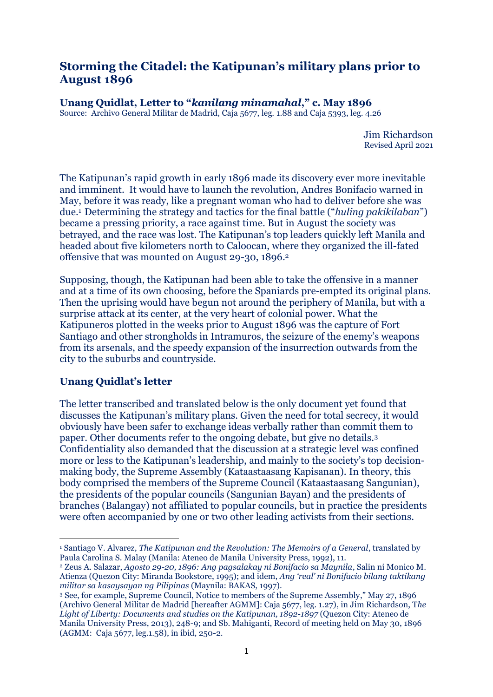# **Storming the Citadel: the Katipunan's military plans prior to August 1896**

**Unang Quidlat, Letter to "***kanilang minamahal***," c. May 1896**

Source: Archivo General Militar de Madrid, Caja 5677, leg. 1.88 and Caja 5393, leg. 4.26

Jim Richardson Revised April 2021

The Katipunan's rapid growth in early 1896 made its discovery ever more inevitable and imminent. It would have to launch the revolution, Andres Bonifacio warned in May, before it was ready, like a pregnant woman who had to deliver before she was due.1 Determining the strategy and tactics for the final battle ("*huling pakikilaban*") became a pressing priority, a race against time. But in August the society was betrayed, and the race was lost. The Katipunan's top leaders quickly left Manila and headed about five kilometers north to Caloocan, where they organized the ill-fated offensive that was mounted on August 29-30, 1896.<sup>2</sup>

Supposing, though, the Katipunan had been able to take the offensive in a manner and at a time of its own choosing, before the Spaniards pre-empted its original plans. Then the uprising would have begun not around the periphery of Manila, but with a surprise attack at its center, at the very heart of colonial power. What the Katipuneros plotted in the weeks prior to August 1896 was the capture of Fort Santiago and other strongholds in Intramuros, the seizure of the enemy's weapons from its arsenals, and the speedy expansion of the insurrection outwards from the city to the suburbs and countryside.

## **Unang Quidlat's letter**

The letter transcribed and translated below is the only document yet found that discusses the Katipunan's military plans. Given the need for total secrecy, it would obviously have been safer to exchange ideas verbally rather than commit them to paper. Other documents refer to the ongoing debate, but give no details.<sup>3</sup> Confidentiality also demanded that the discussion at a strategic level was confined more or less to the Katipunan's leadership, and mainly to the society's top decisionmaking body, the Supreme Assembly (Kataastaasang Kapisanan). In theory, this body comprised the members of the Supreme Council (Kataastaasang Sangunian), the presidents of the popular councils (Sangunian Bayan) and the presidents of branches (Balangay) not affiliated to popular councils, but in practice the presidents were often accompanied by one or two other leading activists from their sections.

<sup>1</sup> Santiago V. Alvarez, *The Katipunan and the Revolution: The Memoirs of a General*, translated by Paula Carolina S. Malay (Manila: Ateneo de Manila University Press, 1992), 11.

<sup>2</sup> Zeus A. Salazar, *Agosto 29-20, 1896: Ang pagsalakay ni Bonifacio sa Maynila*, Salin ni Monico M. Atienza (Quezon City: Miranda Bookstore, 1995); and idem, *Ang 'real' ni Bonifacio bilang taktikang militar sa kasaysayan ng Pilipinas* (Maynila: BAKAS, 1997).

<sup>3</sup> See, for example, Supreme Council, Notice to members of the Supreme Assembly," May 27, 1896 (Archivo General Militar de Madrid [hereafter AGMM]: Caja 5677, leg. 1.27), in Jim Richardson, T*he*  Light of Liberty: Documents and studies on the Katipunan, 1892-1897 (Quezon City: Ateneo de Manila University Press, 2013), 248-9; and Sb. Mahiganti, Record of meeting held on May 30, 1896 (AGMM: Caja 5677, leg.1.58), in ibid, 250-2.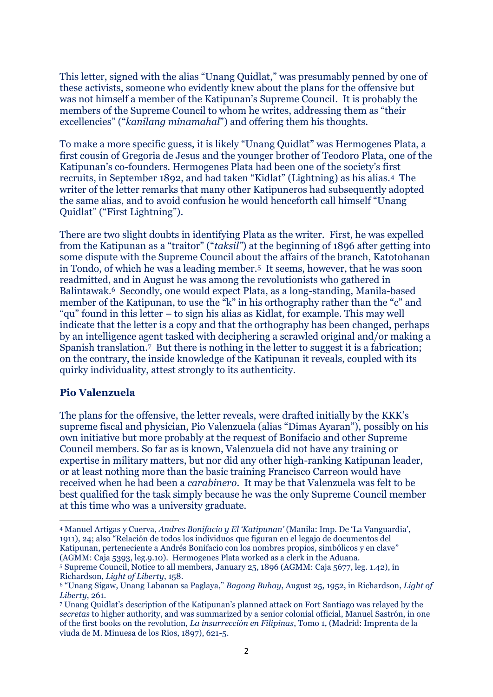This letter, signed with the alias "Unang Quidlat," was presumably penned by one of these activists, someone who evidently knew about the plans for the offensive but was not himself a member of the Katipunan's Supreme Council. It is probably the members of the Supreme Council to whom he writes, addressing them as "their excellencies" ("*kanilang minamahal*") and offering them his thoughts.

To make a more specific guess, it is likely "Unang Quidlat" was Hermogenes Plata, a first cousin of Gregoria de Jesus and the younger brother of Teodoro Plata, one of the Katipunan's co-founders. Hermogenes Plata had been one of the society's first recruits, in September 1892, and had taken "Kidlat" (Lightning) as his alias.4 The writer of the letter remarks that many other Katipuneros had subsequently adopted the same alias, and to avoid confusion he would henceforth call himself "Unang Quidlat" ("First Lightning").

There are two slight doubts in identifying Plata as the writer. First, he was expelled from the Katipunan as a "traitor" ("*taksil"*) at the beginning of 1896 after getting into some dispute with the Supreme Council about the affairs of the branch, Katotohanan in Tondo, of which he was a leading member.5 It seems, however, that he was soon readmitted, and in August he was among the revolutionists who gathered in Balintawak.6 Secondly, one would expect Plata, as a long-standing, Manila-based member of the Katipunan, to use the "k" in his orthography rather than the "c" and "qu" found in this letter – to sign his alias as Kidlat, for example. This may well indicate that the letter is a copy and that the orthography has been changed, perhaps by an intelligence agent tasked with deciphering a scrawled original and/or making a Spanish translation.7 But there is nothing in the letter to suggest it is a fabrication; on the contrary, the inside knowledge of the Katipunan it reveals, coupled with its quirky individuality, attest strongly to its authenticity.

#### **Pio Valenzuela**

The plans for the offensive, the letter reveals, were drafted initially by the KKK's supreme fiscal and physician, Pio Valenzuela (alias "Dimas Ayaran"), possibly on his own initiative but more probably at the request of Bonifacio and other Supreme Council members. So far as is known, Valenzuela did not have any training or expertise in military matters, but nor did any other high-ranking Katipunan leader, or at least nothing more than the basic training Francisco Carreon would have received when he had been a *carabinero*. It may be that Valenzuela was felt to be best qualified for the task simply because he was the only Supreme Council member at this time who was a university graduate.

<sup>4</sup> Manuel Artigas y Cuerva, *Andres Bonifacio y El 'Katipunan'* (Manila: Imp. De 'La Vanguardia', 1911), 24; also "Relación de todos los individuos que figuran en el legajo de documentos del Katipunan, perteneciente a Andrés Bonifacio con los nombres propios, simbólicos y en clave" (AGMM: Caja 5393, leg.9.10). Hermogenes Plata worked as a clerk in the Aduana.

<sup>5</sup> Supreme Council, Notice to all members, January 25, 1896 (AGMM: Caja 5677, leg. 1.42), in Richardson, *Light of Liberty*, 158.

<sup>6</sup> "Unang Sigaw, Unang Labanan sa Paglaya," *Bagong Buhay*, August 25, 1952, in Richardson, *Light of Liberty*, 261.

<sup>7</sup> Unang Quidlat's description of the Katipunan's planned attack on Fort Santiago was relayed by the *secretas* to higher authority, and was summarized by a senior colonial official, Manuel Sastrón, in one of the first books on the revolution, *La insurrección en Filipinas*, Tomo 1, (Madrid: Imprenta de la viuda de M. Minuesa de los Rios, 1897), 621-5.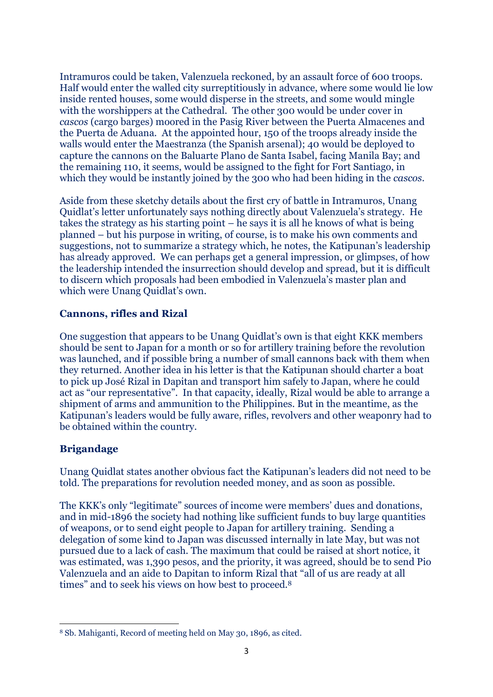Intramuros could be taken, Valenzuela reckoned, by an assault force of 600 troops. Half would enter the walled city surreptitiously in advance, where some would lie low inside rented houses, some would disperse in the streets, and some would mingle with the worshippers at the Cathedral. The other 300 would be under cover in *cascos* (cargo barges) moored in the Pasig River between the Puerta Almacenes and the Puerta de Aduana. At the appointed hour, 150 of the troops already inside the walls would enter the Maestranza (the Spanish arsenal); 40 would be deployed to capture the cannons on the Baluarte Plano de Santa Isabel, facing Manila Bay; and the remaining 110, it seems, would be assigned to the fight for Fort Santiago, in which they would be instantly joined by the 300 who had been hiding in the *cascos*.

Aside from these sketchy details about the first cry of battle in Intramuros, Unang Quidlat's letter unfortunately says nothing directly about Valenzuela's strategy. He takes the strategy as his starting point – he says it is all he knows of what is being planned – but his purpose in writing, of course, is to make his own comments and suggestions, not to summarize a strategy which, he notes, the Katipunan's leadership has already approved. We can perhaps get a general impression, or glimpses, of how the leadership intended the insurrection should develop and spread, but it is difficult to discern which proposals had been embodied in Valenzuela's master plan and which were Unang Quidlat's own.

### **Cannons, rifles and Rizal**

One suggestion that appears to be Unang Quidlat's own is that eight KKK members should be sent to Japan for a month or so for artillery training before the revolution was launched, and if possible bring a number of small cannons back with them when they returned. Another idea in his letter is that the Katipunan should charter a boat to pick up José Rizal in Dapitan and transport him safely to Japan, where he could act as "our representative". In that capacity, ideally, Rizal would be able to arrange a shipment of arms and ammunition to the Philippines. But in the meantime, as the Katipunan's leaders would be fully aware, rifles, revolvers and other weaponry had to be obtained within the country.

## **Brigandage**

Unang Quidlat states another obvious fact the Katipunan's leaders did not need to be told. The preparations for revolution needed money, and as soon as possible.

The KKK's only "legitimate" sources of income were members' dues and donations, and in mid-1896 the society had nothing like sufficient funds to buy large quantities of weapons, or to send eight people to Japan for artillery training. Sending a delegation of some kind to Japan was discussed internally in late May, but was not pursued due to a lack of cash. The maximum that could be raised at short notice, it was estimated, was 1,390 pesos, and the priority, it was agreed, should be to send Pio Valenzuela and an aide to Dapitan to inform Rizal that "all of us are ready at all times" and to seek his views on how best to proceed.<sup>8</sup>

<sup>8</sup> Sb. Mahiganti, Record of meeting held on May 30, 1896, as cited.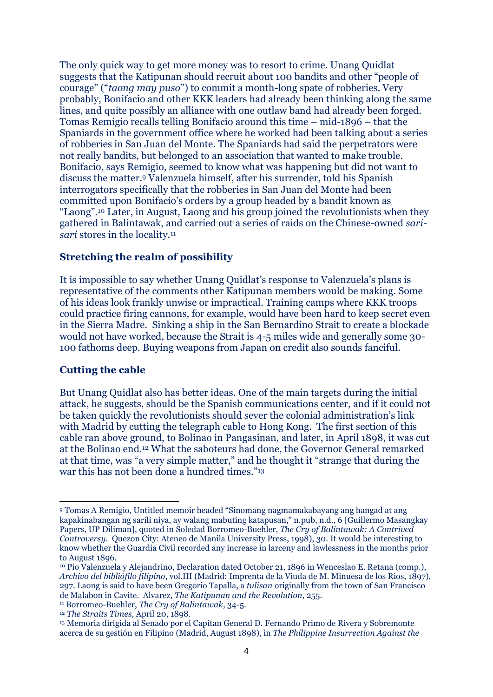The only quick way to get more money was to resort to crime. Unang Quidlat suggests that the Katipunan should recruit about 100 bandits and other "people of courage" ("*taong may puso*") to commit a month-long spate of robberies. Very probably, Bonifacio and other KKK leaders had already been thinking along the same lines, and quite possibly an alliance with one outlaw band had already been forged. Tomas Remigio recalls telling Bonifacio around this time – mid-1896 – that the Spaniards in the government office where he worked had been talking about a series of robberies in San Juan del Monte. The Spaniards had said the perpetrators were not really bandits, but belonged to an association that wanted to make trouble. Bonifacio, says Remigio, seemed to know what was happening but did not want to discuss the matter.<sup>9</sup> Valenzuela himself, after his surrender, told his Spanish interrogators specifically that the robberies in San Juan del Monte had been committed upon Bonifacio's orders by a group headed by a bandit known as "Laong".<sup>10</sup> Later, in August, Laong and his group joined the revolutionists when they gathered in Balintawak, and carried out a series of raids on the Chinese-owned *sarisari* stores in the locality.<sup>11</sup>

### **Stretching the realm of possibility**

It is impossible to say whether Unang Quidlat's response to Valenzuela's plans is representative of the comments other Katipunan members would be making. Some of his ideas look frankly unwise or impractical. Training camps where KKK troops could practice firing cannons, for example, would have been hard to keep secret even in the Sierra Madre. Sinking a ship in the San Bernardino Strait to create a blockade would not have worked, because the Strait is 4-5 miles wide and generally some 30- 100 fathoms deep. Buying weapons from Japan on credit also sounds fanciful.

#### **Cutting the cable**

But Unang Quidlat also has better ideas. One of the main targets during the initial attack, he suggests, should be the Spanish communications center, and if it could not be taken quickly the revolutionists should sever the colonial administration's link with Madrid by cutting the telegraph cable to Hong Kong. The first section of this cable ran above ground, to Bolinao in Pangasinan, and later, in April 1898, it was cut at the Bolinao end.<sup>12</sup> What the saboteurs had done, the Governor General remarked at that time, was "a very simple matter," and he thought it "strange that during the war this has not been done a hundred times."<sup>13</sup>

<sup>9</sup> Tomas A Remigio, Untitled memoir headed "Sinomang nagmamakabayang ang hangad at ang kapakinabangan ng sarili niya, ay walang mabuting katapusan," n.pub, n.d., 6 [Guillermo Masangkay Papers, UP Diliman], quoted in Soledad Borromeo-Buehler, *The Cry of Balintawak: A Contrived Controversy.* Quezon City: Ateneo de Manila University Press, 1998), 30. It would be interesting to know whether the Guardia Civil recorded any increase in larceny and lawlessness in the months prior to August 1896.

<sup>10</sup> Pio Valenzuela y Alejandrino, Declaration dated October 21, 1896 in Wenceslao E. Retana (comp.), *Archivo del bibliófilo filipino*, vol.III (Madrid: Imprenta de la Viuda de M. Minuesa de los Rios, 1897), 297. Laong is said to have been Gregorio Tapalla, a *tulisan* originally from the town of San Francisco de Malabon in Cavite. Alvarez, *The Katipunan and the Revolution*, 255.

<sup>11</sup> Borromeo-Buehler, *The Cry of Balintawak*, 34-5.

<sup>12</sup> *The Straits Times*, April 20, 1898.

<sup>13</sup> Memoria dirigida al Senado por el Capitan General D. Fernando Primo de Rivera y Sobremonte acerca de su gestión en Filipino (Madrid, August 1898), in *The Philippine Insurrection Against the*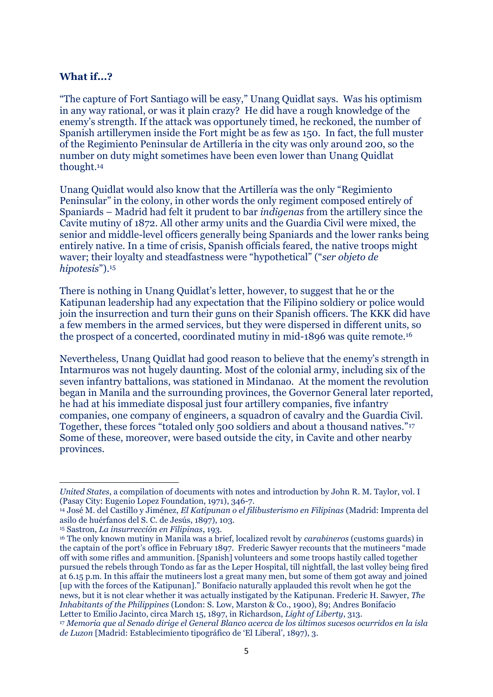#### **What if...?**

"The capture of Fort Santiago will be easy," Unang Quidlat says. Was his optimism in any way rational, or was it plain crazy? He did have a rough knowledge of the enemy's strength. If the attack was opportunely timed, he reckoned, the number of Spanish artillerymen inside the Fort might be as few as 150. In fact, the full muster of the Regimiento Peninsular de Artillería in the city was only around 200, so the number on duty might sometimes have been even lower than Unang Quidlat thought.<sup>14</sup>

Unang Quidlat would also know that the Artillería was the only "Regimiento Peninsular" in the colony, in other words the only regiment composed entirely of Spaniards – Madrid had felt it prudent to bar *indigenas* from the artillery since the Cavite mutiny of 1872. All other army units and the Guardia Civil were mixed, the senior and middle-level officers generally being Spaniards and the lower ranks being entirely native. In a time of crisis, Spanish officials feared, the native troops might waver; their loyalty and steadfastness were "hypothetical" ("*ser objeto de hipotesis*").<sup>15</sup>

There is nothing in Unang Quidlat's letter, however, to suggest that he or the Katipunan leadership had any expectation that the Filipino soldiery or police would join the insurrection and turn their guns on their Spanish officers. The KKK did have a few members in the armed services, but they were dispersed in different units, so the prospect of a concerted, coordinated mutiny in mid-1896 was quite remote.<sup>16</sup>

Nevertheless, Unang Quidlat had good reason to believe that the enemy's strength in Intarmuros was not hugely daunting. Most of the colonial army, including six of the seven infantry battalions, was stationed in Mindanao. At the moment the revolution began in Manila and the surrounding provinces, the Governor General later reported, he had at his immediate disposal just four artillery companies, five infantry companies, one company of engineers, a squadron of cavalry and the Guardia Civil. Together, these forces "totaled only 500 soldiers and about a thousand natives."<sup>17</sup> Some of these, moreover, were based outside the city, in Cavite and other nearby provinces.

*United States*, a compilation of documents with notes and introduction by John R. M. Taylor, vol. I (Pasay City: Eugenio Lopez Foundation, 1971), 346-7.

<sup>14</sup> José M. del Castillo y Jiménez, *El Katipunan o el filibusterismo en Filipinas* (Madrid: Imprenta del asilo de huérfanos del S. C. de Jesús, 1897), 103.

<sup>15</sup> Sastron, *La insurrección en Filipinas*, 193.

<sup>16</sup> The only known mutiny in Manila was a brief, localized revolt by *carabineros* (customs guards) in the captain of the port's office in February 1897. Frederic Sawyer recounts that the mutineers "made off with some rifles and ammunition. [Spanish] volunteers and some troops hastily called together pursued the rebels through Tondo as far as the Leper Hospital, till nightfall, the last volley being fired at 6.15 p.m. In this affair the mutineers lost a great many men, but some of them got away and joined [up with the forces of the Katipunan]." Bonifacio naturally applauded this revolt when he got the news, but it is not clear whether it was actually instigated by the Katipunan. Frederic H. Sawyer, *The Inhabitants of the Philippines* (London: S. Low, Marston & Co., 1900), 89; Andres Bonifacio Letter to Emilio Jacinto, circa March 15, 1897, in Richardson, *Light of Liberty*, 313.

<sup>17</sup> *Memoria que al Senado dirige el General Blanco acerca de los últimos sucesos ocurridos en la isla de Luzon* [Madrid: Establecimiento tipográfico de 'El Liberal', 1897), 3.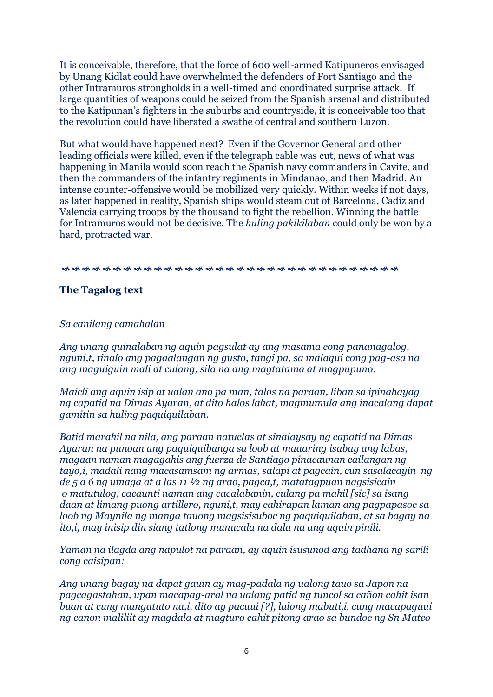It is conceivable, therefore, that the force of 600 well-armed Katipuneros envisaged by Unang Kidlat could have overwhelmed the defenders of Fort Santiago and the other Intramuros strongholds in a well-timed and coordinated surprise attack. If large quantities of weapons could be seized from the Spanish arsenal and distributed to the Katipunan's fighters in the suburbs and countryside, it is conceivable too that the revolution could have liberated a swathe of central and southern Luzon.

But what would have happened next? Even if the Governor General and other leading officials were killed, even if the telegraph cable was cut, news of what was happening in Manila would soon reach the Spanish navy commanders in Cavite, and then the commanders of the infantry regiments in Mindanao, and then Madrid. An intense counter-offensive would be mobilized very quickly. Within weeks if not days, as later happened in reality, Spanish ships would steam out of Barcelona, Cadiz and Valencia carrying troops by the thousand to fight the rebellion. Winning the battle for Intramuros would not be decisive. The *huling pakikilaban* could only be won by a hard, protracted war.

#### $\begin{array}{l} \vspace{0.1cm} \vspace{0.1cm} \vspace{0.1cm} \vspace{0.1cm} \vspace{0.1cm} \vspace{0.1cm} \vspace{0.1cm} \vspace{0.1cm} \vspace{0.1cm} \vspace{0.1cm} \vspace{0.1cm} \vspace{0.1cm} \vspace{0.1cm} \vspace{0.1cm} \vspace{0.1cm} \vspace{0.1cm} \vspace{0.1cm} \vspace{0.1cm} \vspace{0.1cm} \vspace{0.1cm} \vspace{0.1cm} \vspace{0.1cm} \vspace{0.1cm} \vspace{0.$

### **The Tagalog text**

#### *Sa canilang camahalan*

*Ang unang quinalaban ng aquin pagsulat ay ang masama cong pananagalog, nguni,t, tinalo ang pagaalangan ng gusto, tangi pa, sa malaqui cong pag-asa na ang maguiguin mali at culang, sila na ang magtatama at magpupuno.*

*Maicli ang aquin isip at ualan ano pa man, talos na paraan, liban sa ipinahayag ng capatid na Dimas Ayaran, at dito halos lahat, magmumula ang inacalang dapat gamitin sa huling paquiquilaban.*

*Batid marahil na nila, ang paraan natuclas at sinalaysay ng capatid na Dimas Ayaran na punoan ang paquiquibanga sa loob at maaaring isabay ang labas, magaan naman magagahis ang fuerza de Santiago pinacaunan cailangan ng tayo,i, madali nang macasamsam ng armas, salapi at pagcain, cun sasalacayin ng de 5 a 6 ng umaga at a las 11 ½ ng arao, pagca,t, matatagpuan nagsisicain o matutulog, cacaunti naman ang cacalabanin, culang pa mahil [sic] sa isang daan at limang puong artillero, nguni,t, may cahirapan laman ang pagpapasoc sa loob ng Maynila ng manga tauong magsisisuboc ng paquiquilaban, at sa bagay na ito,i, may inisip din siang tatlong munucala na dala na ang aquin pinili.*

*Yaman na ilagda ang napulot na paraan, ay aquin isusunod ang tadhana ng sarili cong caisipan:*

*Ang unang bagay na dapat gauin ay mag-padala ng ualong tauo sa Japon na pagcagastahan, upan macapag-aral na ualang patid ng tuncol sa cañon cahit isan buan at cung mangatuto na,i, dito ay pacuui [?], lalong mabuti,i, cung macapaguui ng canon maliliit ay magdala at magturo cahit pitong arao sa bundoc ng Sn Mateo*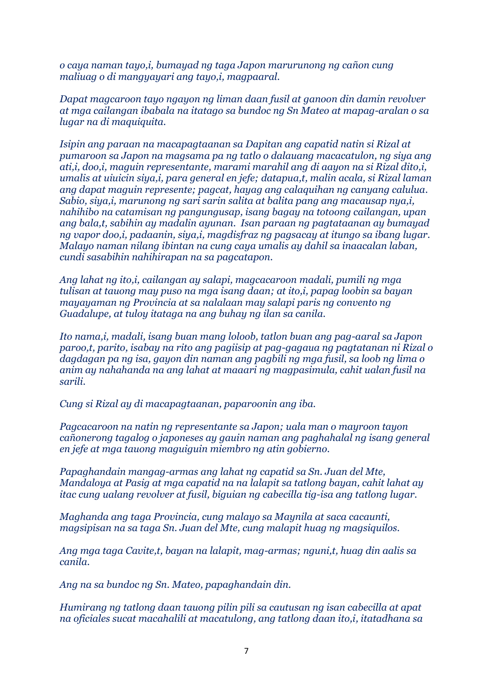*o caya naman tayo,i, bumayad ng taga Japon marurunong ng cañon cung maliuag o di mangyayari ang tayo,i, magpaaral.*

*Dapat magcaroon tayo ngayon ng liman daan fusil at ganoon din damin revolver at mga cailangan ibabala na itatago sa bundoc ng Sn Mateo at mapag-aralan o sa lugar na di maquiquita.*

*Isipin ang paraan na macapagtaanan sa Dapitan ang capatid natin si Rizal at pumaroon sa Japon na magsama pa ng tatlo o dalauang macacatulon, ng siya ang ati,i, doo,i, maguin representante, marami marahil ang di aayon na si Rizal dito,i, umalis at uiuicin siya,i, para general en jefe; datapua,t, malin acala, si Rizal laman ang dapat maguin represente; pagcat, hayag ang calaquihan ng canyang calulua. Sabio, siya,i, marunong ng sari sarin salita at balita pang ang macausap nya,i, nahihibo na catamisan ng pangungusap, isang bagay na totoong cailangan, upan ang bala,t, sabihin ay madalin ayunan. Isan paraan ng pagtataanan ay bumayad ng vapor doo,i, padaanin, siya,i, magdisfraz ng pagsacay at itungo sa ibang lugar. Malayo naman nilang ibintan na cung caya umalis ay dahil sa inaacalan laban, cundi sasabihin nahihirapan na sa pagcatapon.*

*Ang lahat ng ito,i, cailangan ay salapi, magcacaroon madali, pumili ng mga tulisan at tauong may puso na mga isang daan; at ito,i, papag loobin sa bayan mayayaman ng Provincia at sa nalalaan may salapi paris ng convento ng Guadalupe, at tuloy itataga na ang buhay ng ilan sa canila.*

*Ito nama,i, madali, isang buan mang loloob, tatlon buan ang pag-aaral sa Japon paroo,t, parito, isabay na rito ang pagiisip at pag-gagaua ng pagtatanan ni Rizal o dagdagan pa ng isa, gayon din naman ang pagbili ng mga fusil, sa loob ng lima o anim ay nahahanda na ang lahat at maaari ng magpasimula, cahit ualan fusil na sarili.*

*Cung si Rizal ay di macapagtaanan, paparoonin ang iba.*

*Pagcacaroon na natin ng representante sa Japon; uala man o mayroon tayon cañonerong tagalog o japoneses ay gauin naman ang paghahalal ng isang general en jefe at mga tauong maguiguin miembro ng atin gobierno.*

*Papaghandain mangag-armas ang lahat ng capatid sa Sn. Juan del Mte, Mandaloya at Pasig at mga capatid na na lalapit sa tatlong bayan, cahit lahat ay itac cung ualang revolver at fusil, biguian ng cabecilla tig-isa ang tatlong lugar.*

*Maghanda ang taga Provincia, cung malayo sa Maynila at saca cacaunti, magsipisan na sa taga Sn. Juan del Mte, cung malapit huag ng magsiquilos.*

*Ang mga taga Cavite,t, bayan na lalapit, mag-armas; nguni,t, huag din aalis sa canila.*

*Ang na sa bundoc ng Sn. Mateo, papaghandain din.*

*Humirang ng tatlong daan tauong pilin pili sa cautusan ng isan cabecilla at apat na oficiales sucat macahalili at macatulong, ang tatlong daan ito,i, itatadhana sa*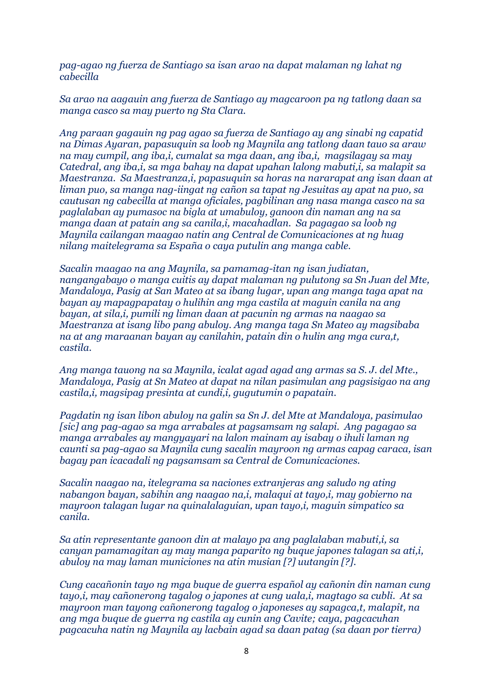*pag-agao ng fuerza de Santiago sa isan arao na dapat malaman ng lahat ng cabecilla*

*Sa arao na aagauin ang fuerza de Santiago ay magcaroon pa ng tatlong daan sa manga casco sa may puerto ng Sta Clara.*

*Ang paraan gagauin ng pag agao sa fuerza de Santiago ay ang sinabi ng capatid na Dimas Ayaran, papasuquin sa loob ng Maynila ang tatlong daan tauo sa araw na may cumpil, ang iba,i, cumalat sa mga daan, ang iba,i, magsilagay sa may Catedral, ang iba,i, sa mga bahay na dapat upahan lalong mabuti,i, sa malapit sa Maestranza. Sa Maestranza,i, papasuquin sa horas na nararapat ang isan daan at liman puo, sa manga nag-iingat ng cañon sa tapat ng Jesuitas ay apat na puo, sa cautusan ng cabecilla at manga oficiales, pagbilinan ang nasa manga casco na sa paglalaban ay pumasoc na bigla at umabuloy, ganoon din naman ang na sa manga daan at patain ang sa canila,i, macahadlan. Sa pagagao sa loob ng Maynila cailangan maagao natin ang Central de Comunicaciones at ng huag nilang maitelegrama sa España o caya putulin ang manga cable.*

*Sacalin maagao na ang Maynila, sa pamamag-itan ng isan judiatan, nangangabayo o manga cuitis ay dapat malaman ng pulutong sa Sn Juan del Mte, Mandaloya, Pasig at San Mateo at sa ibang lugar, upan ang manga taga apat na bayan ay mapagpapatay o hulihin ang mga castila at maguin canila na ang bayan, at sila,i, pumili ng liman daan at pacunin ng armas na naagao sa Maestranza at isang libo pang abuloy. Ang manga taga Sn Mateo ay magsibaba na at ang maraanan bayan ay canilahin, patain din o hulin ang mga cura,t, castila.*

*Ang manga tauong na sa Maynila, icalat agad agad ang armas sa S. J. del Mte., Mandaloya, Pasig at Sn Mateo at dapat na nilan pasimulan ang pagsisigao na ang castila,i, magsipag presinta at cundi,i, gugutumin o papatain.*

*Pagdatin ng isan libon abuloy na galin sa Sn J. del Mte at Mandaloya, pasimulao [sic] ang pag-agao sa mga arrabales at pagsamsam ng salapi. Ang pagagao sa manga arrabales ay mangyayari na lalon mainam ay isabay o ihuli laman ng caunti sa pag-agao sa Maynila cung sacalin mayroon ng armas capag caraca, isan bagay pan icacadali ng pagsamsam sa Central de Comunicaciones.*

*Sacalin naagao na, itelegrama sa naciones extranjeras ang saludo ng ating nabangon bayan, sabihin ang naagao na,i, malaqui at tayo,i, may gobierno na mayroon talagan lugar na quinalalaguian, upan tayo,i, maguin simpatico sa canila.* 

*Sa atin representante ganoon din at malayo pa ang paglalaban mabuti,i, sa canyan pamamagitan ay may manga paparito ng buque japones talagan sa ati,i, abuloy na may laman municiones na atin musian [?] uutangin [?].*

*Cung cacañonin tayo ng mga buque de guerra español ay cañonin din naman cung tayo,i, may cañonerong tagalog o japones at cung uala,i, magtago sa cubli. At sa mayroon man tayong cañonerong tagalog o japoneses ay sapagca,t, malapit, na ang mga buque de guerra ng castila ay cunin ang Cavite; caya, pagcacuhan pagcacuha natin ng Maynila ay lacbain agad sa daan patag (sa daan por tierra)*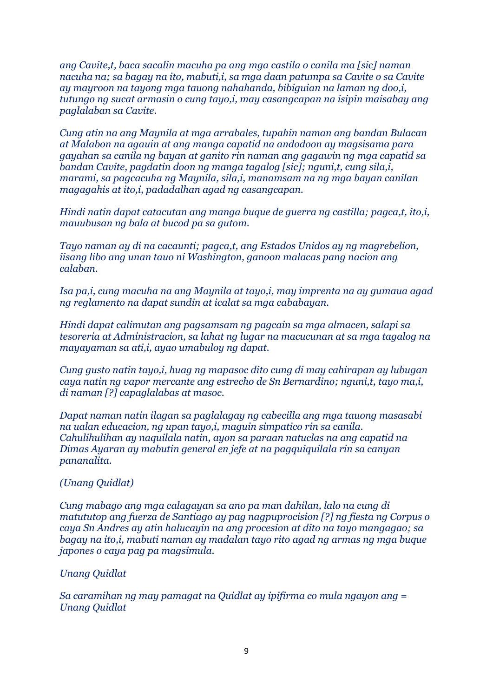*ang Cavite,t, baca sacalin macuha pa ang mga castila o canila ma [sic] naman nacuha na; sa bagay na ito, mabuti,i, sa mga daan patumpa sa Cavite o sa Cavite ay mayroon na tayong mga tauong nahahanda, bibiguian na laman ng doo,i, tutungo ng sucat armasin o cung tayo,i, may casangcapan na isipin maisabay ang paglalaban sa Cavite.* 

*Cung atin na ang Maynila at mga arrabales, tupahin naman ang bandan Bulacan at Malabon na agauin at ang manga capatid na andodoon ay magsisama para gayahan sa canila ng bayan at ganito rin naman ang gagawin ng mga capatid sa bandan Cavite, pagdatin doon ng manga tagalog [sic]; nguni,t, cung sila,i, marami, sa pagcacuha ng Maynila, sila,i, manamsam na ng mga bayan canilan magagahis at ito,i, padadalhan agad ng casangcapan.*

*Hindi natin dapat catacutan ang manga buque de guerra ng castilla; pagca,t, ito,i, mauubusan ng bala at bucod pa sa gutom.*

*Tayo naman ay di na cacaunti; pagca,t, ang Estados Unidos ay ng magrebelion, iisang libo ang unan tauo ni Washington, ganoon malacas pang nacion ang calaban.*

*Isa pa,i, cung macuha na ang Maynila at tayo,i, may imprenta na ay gumaua agad ng reglamento na dapat sundin at icalat sa mga cababayan.*

*Hindi dapat calimutan ang pagsamsam ng pagcain sa mga almacen, salapi sa tesoreria at Administracion, sa lahat ng lugar na macucunan at sa mga tagalog na mayayaman sa ati,i, ayao umabuloy ng dapat.*

*Cung gusto natin tayo,i, huag ng mapasoc dito cung di may cahirapan ay lubugan caya natin ng vapor mercante ang estrecho de Sn Bernardino; nguni,t, tayo ma,i, di naman [?] capaglalabas at masoc.*

*Dapat naman natin ilagan sa paglalagay ng cabecilla ang mga tauong masasabi na ualan educacion, ng upan tayo,i, maguin simpatico rin sa canila. Cahulihulihan ay naquilala natin, ayon sa paraan natuclas na ang capatid na Dimas Ayaran ay mabutin general en jefe at na pagquiquilala rin sa canyan pananalita.*

### *(Unang Quidlat)*

*Cung mabago ang mga calagayan sa ano pa man dahilan, lalo na cung di matututop ang fuerza de Santiago ay pag nagpuprocision [?] ng fiesta ng Corpus o caya Sn Andres ay atin halucayin na ang procesion at dito na tayo mangagao; sa bagay na ito,i, mabuti naman ay madalan tayo rito agad ng armas ng mga buque japones o caya pag pa magsimula.*

#### *Unang Quidlat*

*Sa caramihan ng may pamagat na Quidlat ay ipifirma co mula ngayon ang = Unang Quidlat*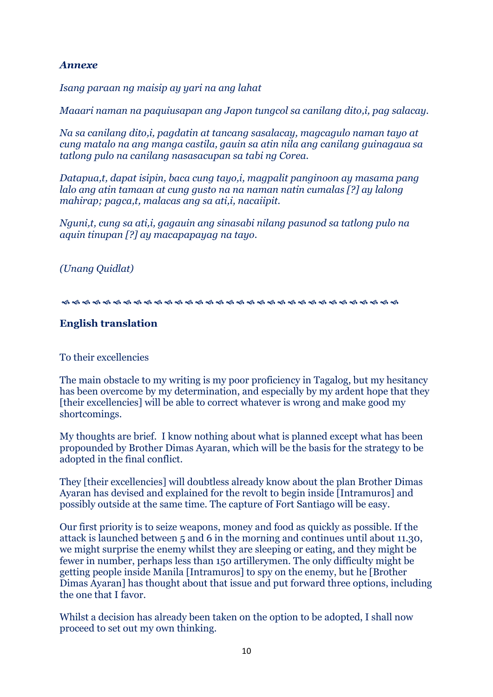### *Annexe*

*Isang paraan ng maisip ay yari na ang lahat*

*Maaari naman na paquiusapan ang Japon tungcol sa canilang dito,i, pag salacay.*

*Na sa canilang dito,i, pagdatin at tancang sasalacay, magcagulo naman tayo at cung matalo na ang manga castila, gauin sa atin nila ang canilang guinagaua sa tatlong pulo na canilang nasasacupan sa tabi ng Corea.*

*Datapua,t, dapat isipin, baca cung tayo,i, magpalit panginoon ay masama pang lalo ang atin tamaan at cung gusto na na naman natin cumalas [?] ay lalong mahirap; pagca,t, malacas ang sa ati,i, nacaiipit.*

*Nguni,t, cung sa ati,i, gagauin ang sinasabi nilang pasunod sa tatlong pulo na aquin tinupan [?] ay macapapayag na tayo.* 

*(Unang Quidlat)*

### **English translation**

To their excellencies

The main obstacle to my writing is my poor proficiency in Tagalog, but my hesitancy has been overcome by my determination, and especially by my ardent hope that they [their excellencies] will be able to correct whatever is wrong and make good my shortcomings.

My thoughts are brief. I know nothing about what is planned except what has been propounded by Brother Dimas Ayaran, which will be the basis for the strategy to be adopted in the final conflict.

They [their excellencies] will doubtless already know about the plan Brother Dimas Ayaran has devised and explained for the revolt to begin inside [Intramuros] and possibly outside at the same time. The capture of Fort Santiago will be easy.

Our first priority is to seize weapons, money and food as quickly as possible. If the attack is launched between 5 and 6 in the morning and continues until about 11.30, we might surprise the enemy whilst they are sleeping or eating, and they might be fewer in number, perhaps less than 150 artillerymen. The only difficulty might be getting people inside Manila [Intramuros] to spy on the enemy, but he [Brother Dimas Ayaran] has thought about that issue and put forward three options, including the one that I favor.

Whilst a decision has already been taken on the option to be adopted, I shall now proceed to set out my own thinking.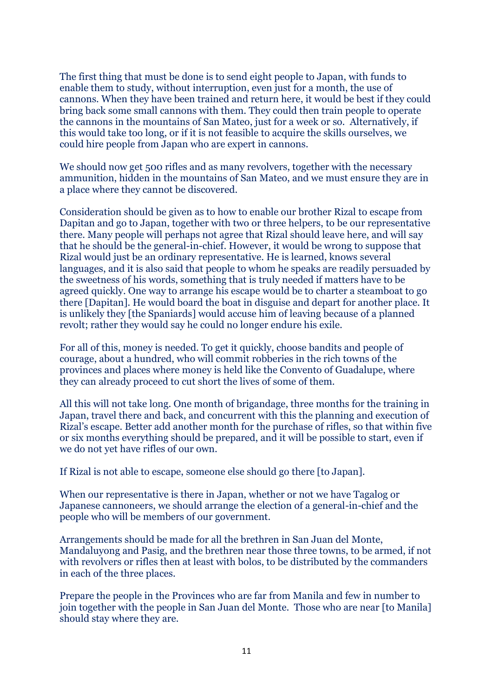The first thing that must be done is to send eight people to Japan, with funds to enable them to study, without interruption, even just for a month, the use of cannons. When they have been trained and return here, it would be best if they could bring back some small cannons with them. They could then train people to operate the cannons in the mountains of San Mateo, just for a week or so. Alternatively, if this would take too long, or if it is not feasible to acquire the skills ourselves, we could hire people from Japan who are expert in cannons.

We should now get 500 rifles and as many revolvers, together with the necessary ammunition, hidden in the mountains of San Mateo, and we must ensure they are in a place where they cannot be discovered.

Consideration should be given as to how to enable our brother Rizal to escape from Dapitan and go to Japan, together with two or three helpers, to be our representative there. Many people will perhaps not agree that Rizal should leave here, and will say that he should be the general-in-chief. However, it would be wrong to suppose that Rizal would just be an ordinary representative. He is learned, knows several languages, and it is also said that people to whom he speaks are readily persuaded by the sweetness of his words, something that is truly needed if matters have to be agreed quickly. One way to arrange his escape would be to charter a steamboat to go there [Dapitan]. He would board the boat in disguise and depart for another place. It is unlikely they [the Spaniards] would accuse him of leaving because of a planned revolt; rather they would say he could no longer endure his exile.

For all of this, money is needed. To get it quickly, choose bandits and people of courage, about a hundred, who will commit robberies in the rich towns of the provinces and places where money is held like the Convento of Guadalupe, where they can already proceed to cut short the lives of some of them.

All this will not take long. One month of brigandage, three months for the training in Japan, travel there and back, and concurrent with this the planning and execution of Rizal's escape. Better add another month for the purchase of rifles, so that within five or six months everything should be prepared, and it will be possible to start, even if we do not yet have rifles of our own.

If Rizal is not able to escape, someone else should go there [to Japan].

When our representative is there in Japan, whether or not we have Tagalog or Japanese cannoneers, we should arrange the election of a general-in-chief and the people who will be members of our government.

Arrangements should be made for all the brethren in San Juan del Monte, Mandaluyong and Pasig, and the brethren near those three towns, to be armed, if not with revolvers or rifles then at least with bolos, to be distributed by the commanders in each of the three places.

Prepare the people in the Provinces who are far from Manila and few in number to join together with the people in San Juan del Monte. Those who are near [to Manila] should stay where they are.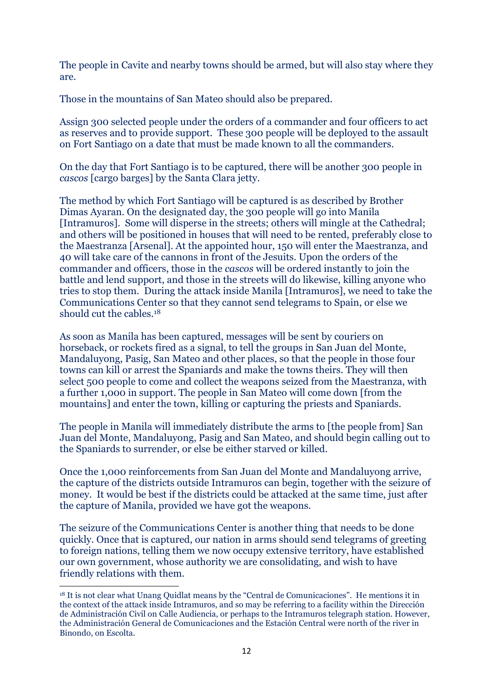The people in Cavite and nearby towns should be armed, but will also stay where they are.

Those in the mountains of San Mateo should also be prepared.

Assign 300 selected people under the orders of a commander and four officers to act as reserves and to provide support. These 300 people will be deployed to the assault on Fort Santiago on a date that must be made known to all the commanders.

On the day that Fort Santiago is to be captured, there will be another 300 people in *cascos* [cargo barges] by the Santa Clara jetty.

The method by which Fort Santiago will be captured is as described by Brother Dimas Ayaran. On the designated day, the 300 people will go into Manila [Intramuros]. Some will disperse in the streets; others will mingle at the Cathedral; and others will be positioned in houses that will need to be rented, preferably close to the Maestranza [Arsenal]. At the appointed hour, 150 will enter the Maestranza, and 40 will take care of the cannons in front of the Jesuits. Upon the orders of the commander and officers, those in the *cascos* will be ordered instantly to join the battle and lend support, and those in the streets will do likewise, killing anyone who tries to stop them. During the attack inside Manila [Intramuros], we need to take the Communications Center so that they cannot send telegrams to Spain, or else we should cut the cables.<sup>18</sup>

As soon as Manila has been captured, messages will be sent by couriers on horseback, or rockets fired as a signal, to tell the groups in San Juan del Monte, Mandaluyong, Pasig, San Mateo and other places, so that the people in those four towns can kill or arrest the Spaniards and make the towns theirs. They will then select 500 people to come and collect the weapons seized from the Maestranza, with a further 1,000 in support. The people in San Mateo will come down [from the mountains] and enter the town, killing or capturing the priests and Spaniards.

The people in Manila will immediately distribute the arms to [the people from] San Juan del Monte, Mandaluyong, Pasig and San Mateo, and should begin calling out to the Spaniards to surrender, or else be either starved or killed.

Once the 1,000 reinforcements from San Juan del Monte and Mandaluyong arrive, the capture of the districts outside Intramuros can begin, together with the seizure of money. It would be best if the districts could be attacked at the same time, just after the capture of Manila, provided we have got the weapons.

The seizure of the Communications Center is another thing that needs to be done quickly. Once that is captured, our nation in arms should send telegrams of greeting to foreign nations, telling them we now occupy extensive territory, have established our own government, whose authority we are consolidating, and wish to have friendly relations with them.

<sup>18</sup> It is not clear what Unang Quidlat means by the "Central de Comunicaciones". He mentions it in the context of the attack inside Intramuros, and so may be referring to a facility within the Dirección de Administración Civil on Calle Audiencia, or perhaps to the Intramuros telegraph station. However, the Administración General de Comunicaciones and the Estación Central were north of the river in Binondo, on Escolta.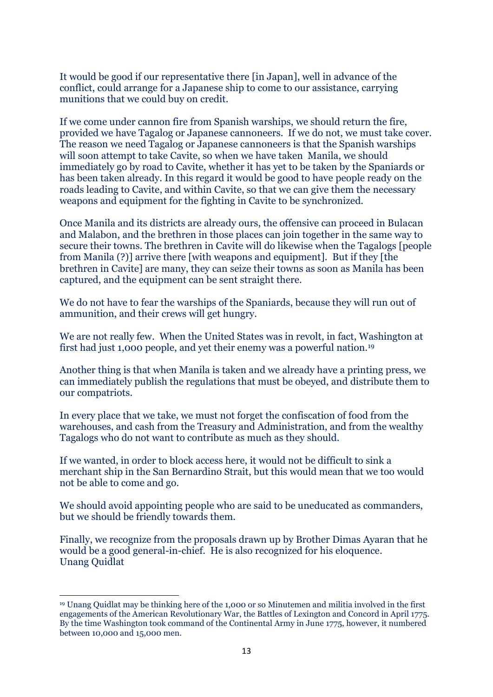It would be good if our representative there [in Japan], well in advance of the conflict, could arrange for a Japanese ship to come to our assistance, carrying munitions that we could buy on credit.

If we come under cannon fire from Spanish warships, we should return the fire, provided we have Tagalog or Japanese cannoneers. If we do not, we must take cover. The reason we need Tagalog or Japanese cannoneers is that the Spanish warships will soon attempt to take Cavite, so when we have taken Manila, we should immediately go by road to Cavite, whether it has yet to be taken by the Spaniards or has been taken already. In this regard it would be good to have people ready on the roads leading to Cavite, and within Cavite, so that we can give them the necessary weapons and equipment for the fighting in Cavite to be synchronized.

Once Manila and its districts are already ours, the offensive can proceed in Bulacan and Malabon, and the brethren in those places can join together in the same way to secure their towns. The brethren in Cavite will do likewise when the Tagalogs [people from Manila (?)] arrive there [with weapons and equipment]. But if they [the brethren in Cavite] are many, they can seize their towns as soon as Manila has been captured, and the equipment can be sent straight there.

We do not have to fear the warships of the Spaniards, because they will run out of ammunition, and their crews will get hungry.

We are not really few. When the United States was in revolt, in fact, Washington at first had just 1,000 people, and yet their enemy was a powerful nation.<sup>19</sup>

Another thing is that when Manila is taken and we already have a printing press, we can immediately publish the regulations that must be obeyed, and distribute them to our compatriots.

In every place that we take, we must not forget the confiscation of food from the warehouses, and cash from the Treasury and Administration, and from the wealthy Tagalogs who do not want to contribute as much as they should.

If we wanted, in order to block access here, it would not be difficult to sink a merchant ship in the San Bernardino Strait, but this would mean that we too would not be able to come and go.

We should avoid appointing people who are said to be uneducated as commanders, but we should be friendly towards them.

Finally, we recognize from the proposals drawn up by Brother Dimas Ayaran that he would be a good general-in-chief. He is also recognized for his eloquence. Unang Quidlat

<sup>19</sup> Unang Quidlat may be thinking here of the 1,000 or so Minutemen and militia involved in the first engagements of the American Revolutionary War, the Battles of Lexington and Concord in April 1775. By the time Washington took command of the Continental Army in June 1775, however, it numbered between 10,000 and 15,000 men.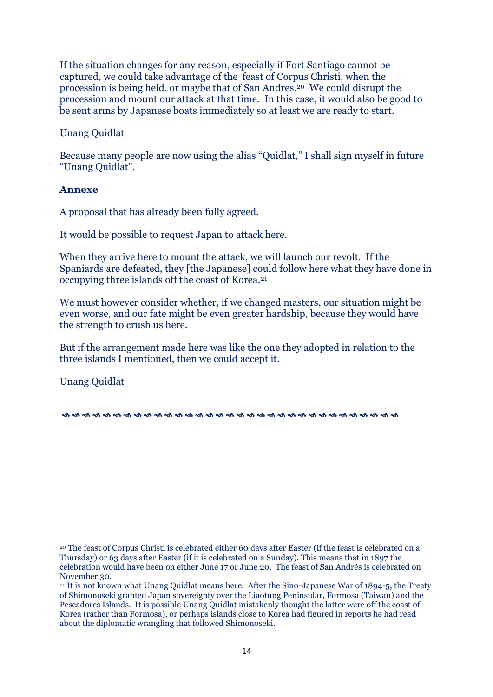If the situation changes for any reason, especially if Fort Santiago cannot be captured, we could take advantage of the feast of Corpus Christi, when the procession is being held, or maybe that of San Andres.20 We could disrupt the procession and mount our attack at that time. In this case, it would also be good to be sent arms by Japanese boats immediately so at least we are ready to start.

Unang Quidlat

Because many people are now using the alias "Quidlat," I shall sign myself in future "Unang Quidlat".

### **Annexe**

A proposal that has already been fully agreed.

It would be possible to request Japan to attack here.

When they arrive here to mount the attack, we will launch our revolt. If the Spaniards are defeated, they [the Japanese] could follow here what they have done in occupying three islands off the coast of Korea.<sup>21</sup>

We must however consider whether, if we changed masters, our situation might be even worse, and our fate might be even greater hardship, because they would have the strength to crush us here.

But if the arrangement made here was like the one they adopted in relation to the three islands I mentioned, then we could accept it.

Unang Quidlat

<sup>20</sup> The feast of Corpus Christi is celebrated either 60 days after Easter (if the feast is celebrated on a Thursday) or 63 days after Easter (if it is celebrated on a Sunday). This means that in 1897 the celebration would have been on either June 17 or June 20. The feast of San Andrés is celebrated on November 30.

<sup>21</sup> It is not known what Unang Quidlat means here. After the Sino-Japanese War of 1894-5, the Treaty of Shimonoseki granted Japan sovereignty over the Liaotung Peninsular, Formosa (Taiwan) and the Pescadores Islands. It is possible Unang Quidlat mistakenly thought the latter were off the coast of Korea (rather than Formosa), or perhaps islands close to Korea had figured in reports he had read about the diplomatic wrangling that followed Shimonoseki.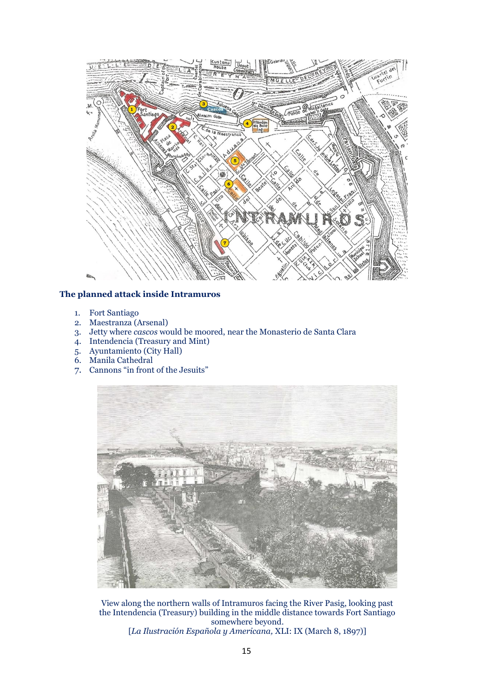

#### **The planned attack inside Intramuros**

- 1. Fort Santiago
- 2. Maestranza (Arsenal)
- 3. Jetty where *cascos* would be moored, near the Monasterio de Santa Clara
- 4. Intendencia (Treasury and Mint)
- 5. Ayuntamiento (City Hall)
- 6. Manila Cathedral
- 7. Cannons "in front of the Jesuits"



View along the northern walls of Intramuros facing the River Pasig, looking past the Intendencia (Treasury) building in the middle distance towards Fort Santiago somewhere beyond. [*La Ilustración Española y Americana,* XLI: IX (March 8, 1897)]